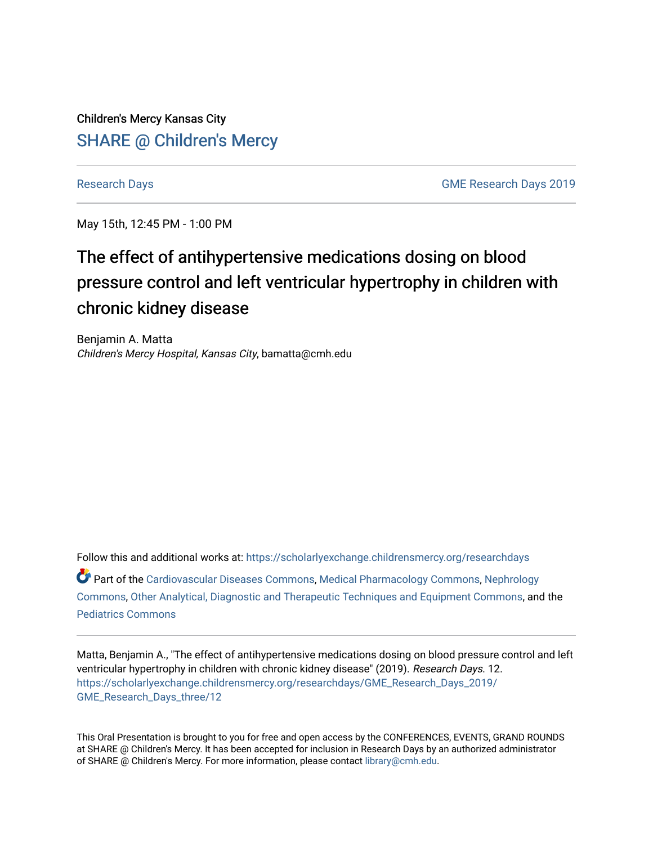Children's Mercy Kansas City SHARE @ Children's Mercy

[Research Days](https://scholarlyexchange.childrensmercy.org/researchdays) GME Research Days 2019

May 15th, 12:45 PM - 1:00 PM

# The effect of antihypertensive medications dosing on blood pressure control and left ventricular hypertrophy in children with chronic kidney disease

Benjamin A. Matta Children's Mercy Hospital, Kansas City, bamatta@cmh.edu

Follow this and additional works at: [https://scholarlyexchange.childrensmercy.org/researchdays](https://scholarlyexchange.childrensmercy.org/researchdays?utm_source=scholarlyexchange.childrensmercy.org%2Fresearchdays%2FGME_Research_Days_2019%2FGME_Research_Days_three%2F12&utm_medium=PDF&utm_campaign=PDFCoverPages)  Part of the [Cardiovascular Diseases Commons](http://network.bepress.com/hgg/discipline/929?utm_source=scholarlyexchange.childrensmercy.org%2Fresearchdays%2FGME_Research_Days_2019%2FGME_Research_Days_three%2F12&utm_medium=PDF&utm_campaign=PDFCoverPages), [Medical Pharmacology Commons](http://network.bepress.com/hgg/discipline/960?utm_source=scholarlyexchange.childrensmercy.org%2Fresearchdays%2FGME_Research_Days_2019%2FGME_Research_Days_three%2F12&utm_medium=PDF&utm_campaign=PDFCoverPages), [Nephrology](http://network.bepress.com/hgg/discipline/691?utm_source=scholarlyexchange.childrensmercy.org%2Fresearchdays%2FGME_Research_Days_2019%2FGME_Research_Days_three%2F12&utm_medium=PDF&utm_campaign=PDFCoverPages) [Commons](http://network.bepress.com/hgg/discipline/691?utm_source=scholarlyexchange.childrensmercy.org%2Fresearchdays%2FGME_Research_Days_2019%2FGME_Research_Days_three%2F12&utm_medium=PDF&utm_campaign=PDFCoverPages), [Other Analytical, Diagnostic and Therapeutic Techniques and Equipment Commons](http://network.bepress.com/hgg/discipline/994?utm_source=scholarlyexchange.childrensmercy.org%2Fresearchdays%2FGME_Research_Days_2019%2FGME_Research_Days_three%2F12&utm_medium=PDF&utm_campaign=PDFCoverPages), and the [Pediatrics Commons](http://network.bepress.com/hgg/discipline/700?utm_source=scholarlyexchange.childrensmercy.org%2Fresearchdays%2FGME_Research_Days_2019%2FGME_Research_Days_three%2F12&utm_medium=PDF&utm_campaign=PDFCoverPages)

Matta, Benjamin A., "The effect of antihypertensive medications dosing on blood pressure control and left ventricular hypertrophy in children with chronic kidney disease" (2019). Research Days. 12. [https://scholarlyexchange.childrensmercy.org/researchdays/GME\\_Research\\_Days\\_2019/](https://scholarlyexchange.childrensmercy.org/researchdays/GME_Research_Days_2019/GME_Research_Days_three/12?utm_source=scholarlyexchange.childrensmercy.org%2Fresearchdays%2FGME_Research_Days_2019%2FGME_Research_Days_three%2F12&utm_medium=PDF&utm_campaign=PDFCoverPages) [GME\\_Research\\_Days\\_three/12](https://scholarlyexchange.childrensmercy.org/researchdays/GME_Research_Days_2019/GME_Research_Days_three/12?utm_source=scholarlyexchange.childrensmercy.org%2Fresearchdays%2FGME_Research_Days_2019%2FGME_Research_Days_three%2F12&utm_medium=PDF&utm_campaign=PDFCoverPages) 

This Oral Presentation is brought to you for free and open access by the CONFERENCES, EVENTS, GRAND ROUNDS at SHARE @ Children's Mercy. It has been accepted for inclusion in Research Days by an authorized administrator of SHARE @ Children's Mercy. For more information, please contact [library@cmh.edu.](mailto:library@cmh.edu)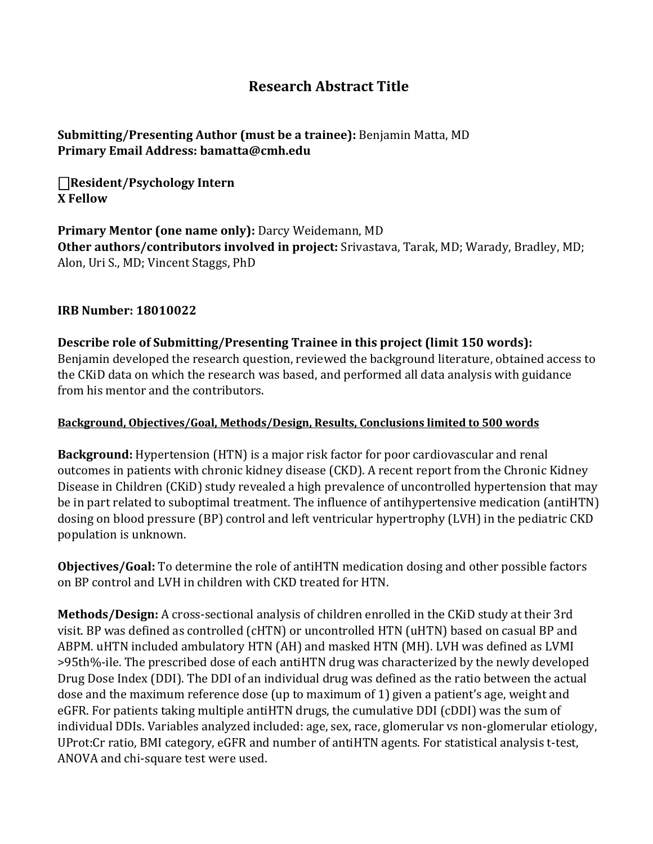## **Research Abstract Title**

### **Submitting/Presenting Author (must be a trainee):** Benjamin Matta, MD **Primary Email Address: bamatta@cmh.edu**

⎕**Resident/Psychology Intern X Fellow** 

**Primary Mentor (one name only):** Darcy Weidemann, MD **Other authors/contributors involved in project:** Srivastava, Tarak, MD; Warady, Bradley, MD; Alon, Uri S., MD; Vincent Staggs, PhD

#### **IRB Number: 18010022**

**Describe role of Submitting/Presenting Trainee in this project (limit 150 words):** Benjamin developed the research question, reviewed the background literature, obtained access to the CKiD data on which the research was based, and performed all data analysis with guidance from his mentor and the contributors.

#### **Background, Objectives/Goal, Methods/Design, Results, Conclusions limited to 500 words**

**Background:** Hypertension (HTN) is a major risk factor for poor cardiovascular and renal outcomes in patients with chronic kidney disease (CKD). A recent report from the Chronic Kidney Disease in Children (CKiD) study revealed a high prevalence of uncontrolled hypertension that may be in part related to suboptimal treatment. The influence of antihypertensive medication (antiHTN) dosing on blood pressure (BP) control and left ventricular hypertrophy (LVH) in the pediatric CKD population is unknown.

**Objectives/Goal:** To determine the role of antiHTN medication dosing and other possible factors on BP control and LVH in children with CKD treated for HTN.

**Methods/Design:** A cross-sectional analysis of children enrolled in the CKiD study at their 3rd visit. BP was defined as controlled (cHTN) or uncontrolled HTN (uHTN) based on casual BP and ABPM. uHTN included ambulatory HTN (AH) and masked HTN (MH). LVH was defined as LVMI >95th%-ile. The prescribed dose of each antiHTN drug was characterized by the newly developed Drug Dose Index (DDI). The DDI of an individual drug was defined as the ratio between the actual dose and the maximum reference dose (up to maximum of 1) given a patient's age, weight and eGFR. For patients taking multiple antiHTN drugs, the cumulative DDI (cDDI) was the sum of individual DDIs. Variables analyzed included: age, sex, race, glomerular vs non-glomerular etiology, UProt:Cr ratio, BMI category, eGFR and number of antiHTN agents. For statistical analysis t-test, ANOVA and chi-square test were used.